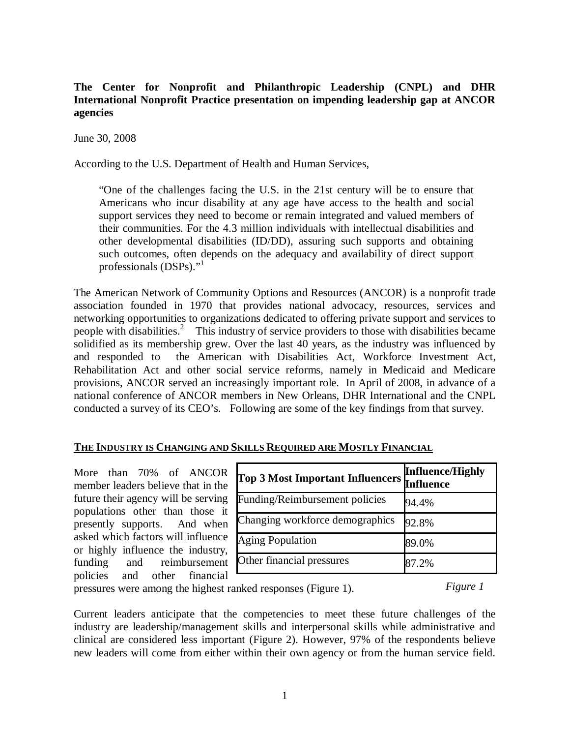## **The Center for Nonprofit and Philanthropic Leadership (CNPL) and DHR International Nonprofit Practice presentation on impending leadership gap at ANCOR agencies**

June 30, 2008

According to the U.S. Department of Health and Human Services,

"One of the challenges facing the U.S. in the 21st century will be to ensure that Americans who incur disability at any age have access to the health and social support services they need to become or remain integrated and valued members of their communities. For the 4.3 million individuals with intellectual disabilities and other developmental disabilities (ID/DD), assuring such supports and obtaining such outcomes, often depends on the adequacy and availability of direct support professionals (DSPs)."<sup>1</sup>

The American Network of Community Options and Resources (ANCOR) is a nonprofit trade association founded in 1970 that provides national advocacy, resources, services and networking opportunities to organizations dedicated to offering private support and services to people with disabilities.<sup>2</sup> This industry of service providers to those with disabilities became solidified as its membership grew. Over the last 40 years, as the industry was influenced by and responded to the American with Disabilities Act, Workforce Investment Act, Rehabilitation Act and other social service reforms, namely in Medicaid and Medicare provisions, ANCOR served an increasingly important role. In April of 2008, in advance of a national conference of ANCOR members in New Orleans, DHR International and the CNPL conducted a survey of its CEO's. Following are some of the key findings from that survey.

## **THE INDUSTRY IS CHANGING AND SKILLS REQUIRED ARE MOSTLY FINANCIAL**

More than 70% of ANCOR member leaders believe that in the future their agency will be serving populations other than those it presently supports. And when asked which factors will influence or highly influence the industry, funding and reimbursement policies and other financial

| <b>Top 3 Most Important Influencers</b> | <b>Influence/Highly</b><br><b>Influence</b> |
|-----------------------------------------|---------------------------------------------|
| Funding/Reimbursement policies          | 94.4%                                       |
| Changing workforce demographics         | 92.8%                                       |
| <b>Aging Population</b>                 | 89.0%                                       |
| Other financial pressures               | 87.2%                                       |

*Figure 1*

pressures were among the highest ranked responses (Figure 1).

Current leaders anticipate that the competencies to meet these future challenges of the industry are leadership/management skills and interpersonal skills while administrative and clinical are considered less important (Figure 2). However, 97% of the respondents believe new leaders will come from either within their own agency or from the human service field.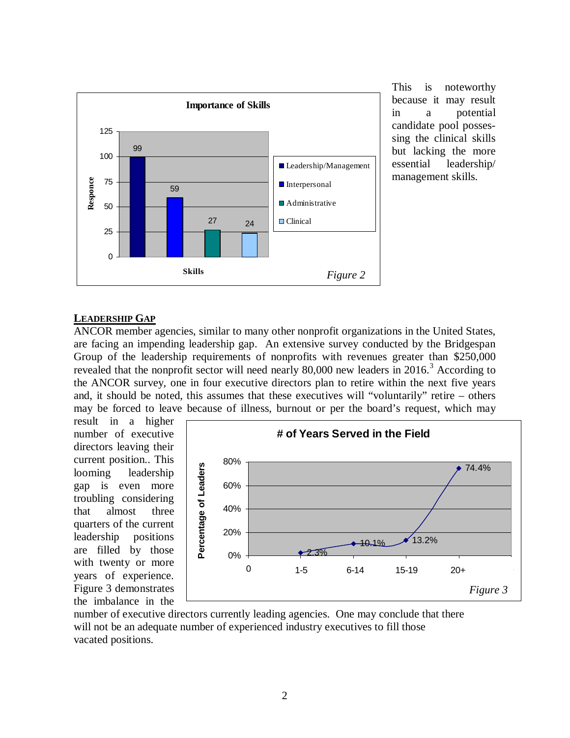

This is noteworthy because it may result in a potential candidate pool possessing the clinical skills but lacking the more essential leadership/ management skills.

## **LEADERSHIP GAP**

ANCOR member agencies, similar to many other nonprofit organizations in the United States, are facing an impending leadership gap. An extensive survey conducted by the Bridgespan Group of the leadership requirements of nonprofits with revenues greater than \$250,000 revealed that the nonprofit sector will need nearly  $80,000$  new leaders in  $2016$ .<sup>3</sup> According to the ANCOR survey, one in four executive directors plan to retire within the next five years and, it should be noted, this assumes that these executives will "voluntarily" retire – others may be forced to leave because of illness, burnout or per the board's request, which may

result in a higher number of executive directors leaving their current position.. This looming leadership gap is even more troubling considering that almost three quarters of the current leadership positions are filled by those with twenty or more years of experience. Figure 3 demonstrates the imbalance in the



number of executive directors currently leading agencies. One may conclude that there will not be an adequate number of experienced industry executives to fill those vacated positions.